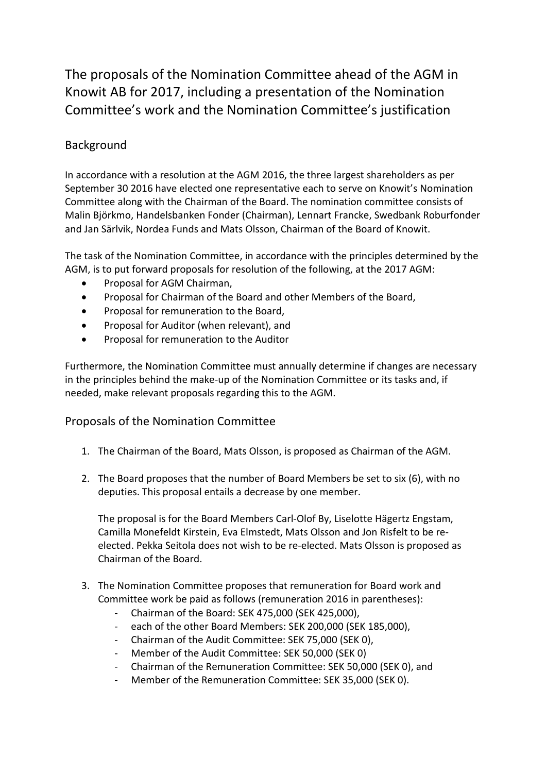The proposals of the Nomination Committee ahead of the AGM in Knowit AB for 2017, including a presentation of the Nomination Committee's work and the Nomination Committee's justification

## Background

In accordance with a resolution at the AGM 2016, the three largest shareholders as per September 30 2016 have elected one representative each to serve on Knowit's Nomination Committee along with the Chairman of the Board. The nomination committee consists of Malin Björkmo, Handelsbanken Fonder (Chairman), Lennart Francke, Swedbank Roburfonder and Jan Särlvik, Nordea Funds and Mats Olsson, Chairman of the Board of Knowit.

The task of the Nomination Committee, in accordance with the principles determined by the AGM, is to put forward proposals for resolution of the following, at the 2017 AGM:

- Proposal for AGM Chairman,
- Proposal for Chairman of the Board and other Members of the Board,
- Proposal for remuneration to the Board,
- Proposal for Auditor (when relevant), and
- Proposal for remuneration to the Auditor

Furthermore, the Nomination Committee must annually determine if changes are necessary in the principles behind the make-up of the Nomination Committee or its tasks and, if needed, make relevant proposals regarding this to the AGM.

## Proposals of the Nomination Committee

- 1. The Chairman of the Board, Mats Olsson, is proposed as Chairman of the AGM.
- 2. The Board proposes that the number of Board Members be set to six (6), with no deputies. This proposal entails a decrease by one member.

The proposal is for the Board Members Carl-Olof By, Liselotte Hägertz Engstam, Camilla Monefeldt Kirstein, Eva Elmstedt, Mats Olsson and Jon Risfelt to be reelected. Pekka Seitola does not wish to be re-elected. Mats Olsson is proposed as Chairman of the Board.

- 3. The Nomination Committee proposes that remuneration for Board work and Committee work be paid as follows (remuneration 2016 in parentheses):
	- Chairman of the Board: SEK 475,000 (SEK 425,000),
	- each of the other Board Members: SEK 200,000 (SEK 185,000),
	- Chairman of the Audit Committee: SEK 75,000 (SEK 0),
	- Member of the Audit Committee: SEK 50,000 (SEK 0)
	- Chairman of the Remuneration Committee: SEK 50,000 (SEK 0), and
	- Member of the Remuneration Committee: SEK 35,000 (SEK 0).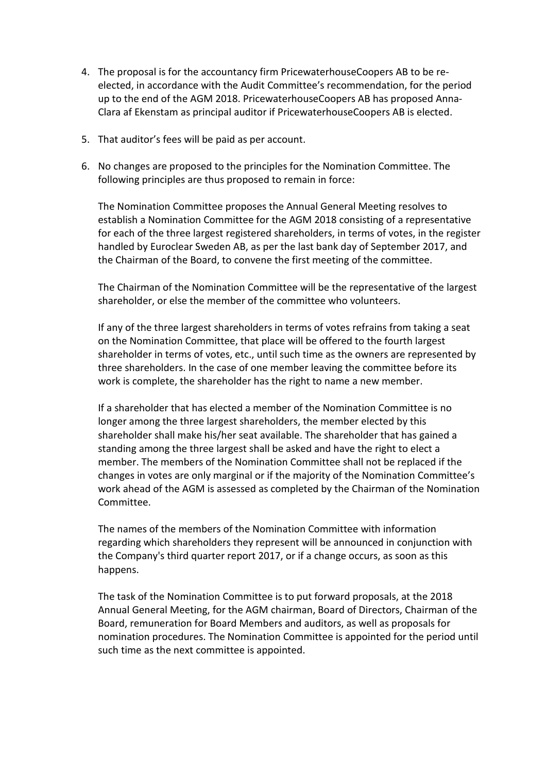- 4. The proposal is for the accountancy firm PricewaterhouseCoopers AB to be reelected, in accordance with the Audit Committee's recommendation, for the period up to the end of the AGM 2018. PricewaterhouseCoopers AB has proposed Anna-Clara af Ekenstam as principal auditor if PricewaterhouseCoopers AB is elected.
- 5. That auditor's fees will be paid as per account.
- 6. No changes are proposed to the principles for the Nomination Committee. The following principles are thus proposed to remain in force:

The Nomination Committee proposes the Annual General Meeting resolves to establish a Nomination Committee for the AGM 2018 consisting of a representative for each of the three largest registered shareholders, in terms of votes, in the register handled by Euroclear Sweden AB, as per the last bank day of September 2017, and the Chairman of the Board, to convene the first meeting of the committee.

The Chairman of the Nomination Committee will be the representative of the largest shareholder, or else the member of the committee who volunteers.

If any of the three largest shareholders in terms of votes refrains from taking a seat on the Nomination Committee, that place will be offered to the fourth largest shareholder in terms of votes, etc., until such time as the owners are represented by three shareholders. In the case of one member leaving the committee before its work is complete, the shareholder has the right to name a new member.

If a shareholder that has elected a member of the Nomination Committee is no longer among the three largest shareholders, the member elected by this shareholder shall make his/her seat available. The shareholder that has gained a standing among the three largest shall be asked and have the right to elect a member. The members of the Nomination Committee shall not be replaced if the changes in votes are only marginal or if the majority of the Nomination Committee's work ahead of the AGM is assessed as completed by the Chairman of the Nomination Committee.

The names of the members of the Nomination Committee with information regarding which shareholders they represent will be announced in conjunction with the Company's third quarter report 2017, or if a change occurs, as soon as this happens.

The task of the Nomination Committee is to put forward proposals, at the 2018 Annual General Meeting, for the AGM chairman, Board of Directors, Chairman of the Board, remuneration for Board Members and auditors, as well as proposals for nomination procedures. The Nomination Committee is appointed for the period until such time as the next committee is appointed.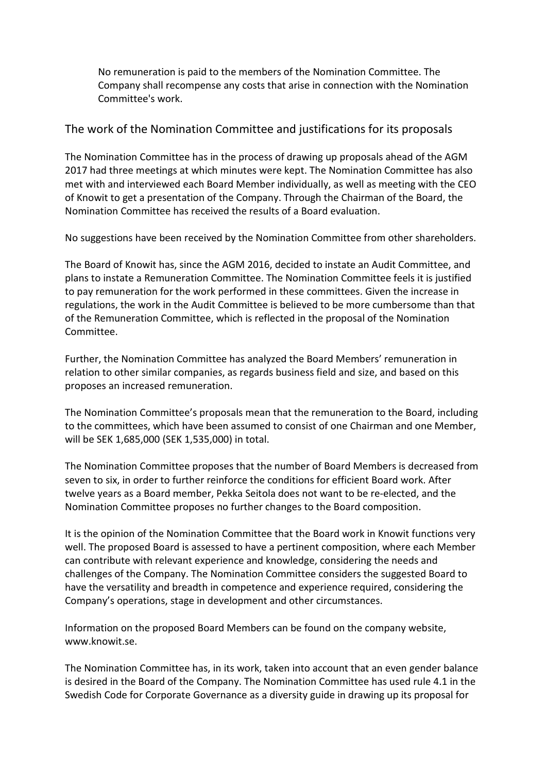No remuneration is paid to the members of the Nomination Committee. The Company shall recompense any costs that arise in connection with the Nomination Committee's work.

## The work of the Nomination Committee and justifications for its proposals

The Nomination Committee has in the process of drawing up proposals ahead of the AGM 2017 had three meetings at which minutes were kept. The Nomination Committee has also met with and interviewed each Board Member individually, as well as meeting with the CEO of Knowit to get a presentation of the Company. Through the Chairman of the Board, the Nomination Committee has received the results of a Board evaluation.

No suggestions have been received by the Nomination Committee from other shareholders.

The Board of Knowit has, since the AGM 2016, decided to instate an Audit Committee, and plans to instate a Remuneration Committee. The Nomination Committee feels it is justified to pay remuneration for the work performed in these committees. Given the increase in regulations, the work in the Audit Committee is believed to be more cumbersome than that of the Remuneration Committee, which is reflected in the proposal of the Nomination Committee.

Further, the Nomination Committee has analyzed the Board Members' remuneration in relation to other similar companies, as regards business field and size, and based on this proposes an increased remuneration.

The Nomination Committee's proposals mean that the remuneration to the Board, including to the committees, which have been assumed to consist of one Chairman and one Member, will be SEK 1,685,000 (SEK 1,535,000) in total.

The Nomination Committee proposes that the number of Board Members is decreased from seven to six, in order to further reinforce the conditions for efficient Board work. After twelve years as a Board member, Pekka Seitola does not want to be re-elected, and the Nomination Committee proposes no further changes to the Board composition.

It is the opinion of the Nomination Committee that the Board work in Knowit functions very well. The proposed Board is assessed to have a pertinent composition, where each Member can contribute with relevant experience and knowledge, considering the needs and challenges of the Company. The Nomination Committee considers the suggested Board to have the versatility and breadth in competence and experience required, considering the Company's operations, stage in development and other circumstances.

Information on the proposed Board Members can be found on the company website, www.knowit.se.

The Nomination Committee has, in its work, taken into account that an even gender balance is desired in the Board of the Company. The Nomination Committee has used rule 4.1 in the Swedish Code for Corporate Governance as a diversity guide in drawing up its proposal for